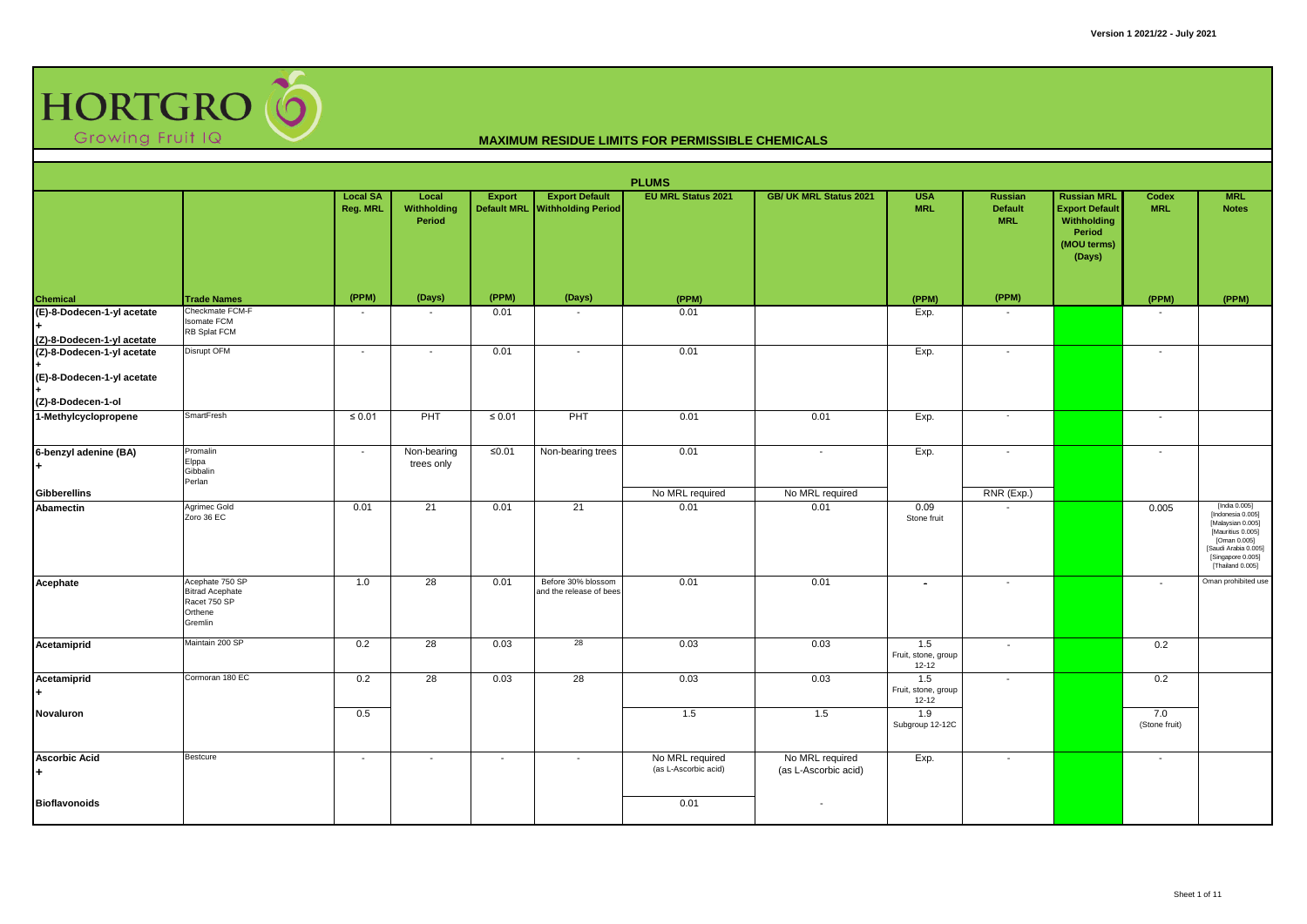

|                                                                                |                                                                                 |                             |                                |                                     |                                                    | <b>PLUMS</b>                            |                                         |                                         |                                                |                                                                                               |                          |                                                                                                                                                               |
|--------------------------------------------------------------------------------|---------------------------------------------------------------------------------|-----------------------------|--------------------------------|-------------------------------------|----------------------------------------------------|-----------------------------------------|-----------------------------------------|-----------------------------------------|------------------------------------------------|-----------------------------------------------------------------------------------------------|--------------------------|---------------------------------------------------------------------------------------------------------------------------------------------------------------|
|                                                                                |                                                                                 | <b>Local SA</b><br>Reg. MRL | Local<br>Withholding<br>Period | <b>Export</b><br><b>Default MRL</b> | <b>Export Default</b><br><b>Withholding Period</b> | <b>EU MRL Status 2021</b>               | <b>GB/ UK MRL Status 2021</b>           | <b>USA</b><br><b>MRL</b>                | <b>Russian</b><br><b>Default</b><br><b>MRL</b> | <b>Russian MRL</b><br><b>Export Default</b><br>Withholding<br>Period<br>(MOU terms)<br>(Days) | Codex<br><b>MRL</b>      | <b>MRL</b><br><b>Notes</b>                                                                                                                                    |
| <b>Chemical</b>                                                                | <b>Trade Names</b>                                                              | (PPM)                       | (Days)                         | (PPM)                               | (Days)                                             | (PPM)                                   |                                         | (PPM)                                   | (PPM)                                          |                                                                                               | (PPM)                    | (PPM)                                                                                                                                                         |
| (E)-8-Dodecen-1-yl acetate<br>(Z)-8-Dodecen-1-yl acetate                       | Checkmate FCM-F<br><b>Isomate FCM</b><br>RB Splat FCM                           | $\overline{a}$              | $\blacksquare$                 | 0.01                                | $\overline{\phantom{a}}$                           | 0.01                                    |                                         | Exp.                                    | $\overline{\phantom{a}}$                       |                                                                                               |                          |                                                                                                                                                               |
| (Z)-8-Dodecen-1-yl acetate<br>(E)-8-Dodecen-1-yl acetate<br>(Z)-8-Dodecen-1-ol | Disrupt OFM                                                                     | $\overline{\phantom{a}}$    | $\overline{\phantom{a}}$       | 0.01                                | $\overline{\phantom{a}}$                           | 0.01                                    |                                         | Exp.                                    | $\overline{\phantom{a}}$                       |                                                                                               | $\overline{\phantom{a}}$ |                                                                                                                                                               |
| 1-Methylcyclopropene                                                           | <b>SmartFresh</b>                                                               | $\leq 0.01$                 | PHT                            | $\leq 0.01$                         | PHT                                                | 0.01                                    | 0.01                                    | Exp.                                    | $\sim$                                         |                                                                                               | $\sim$                   |                                                                                                                                                               |
| 6-benzyl adenine (BA)                                                          | Promalin<br>Elppa<br>Gibbalin<br>Perlan                                         | $\sim$                      | Non-bearing<br>trees only      | $\leq 0.01$                         | Non-bearing trees                                  | 0.01                                    | $\sim$                                  | Exp.                                    | $\overline{\phantom{a}}$                       |                                                                                               | $\overline{\phantom{a}}$ |                                                                                                                                                               |
| <b>Gibberellins</b>                                                            |                                                                                 |                             |                                |                                     |                                                    | No MRL required                         | No MRL required                         |                                         | RNR (Exp.)                                     |                                                                                               |                          |                                                                                                                                                               |
| Abamectin                                                                      | Agrimec Gold<br>Zoro 36 EC                                                      | 0.01                        | 21                             | 0.01                                | 21                                                 | 0.01                                    | 0.01                                    | 0.09<br>Stone fruit                     |                                                |                                                                                               | 0.005                    | [India 0.005]<br>[Indonesia 0.005]<br>[Malaysian 0.005]<br>[Mauritius 0.005]<br>[Oman 0.005]<br>[Saudi Arabia 0.005]<br>[Singapore 0.005]<br>[Thailand 0.005] |
| Acephate                                                                       | Acephate 750 SP<br><b>Bitrad Acephate</b><br>Racet 750 SP<br>Orthene<br>Gremlin | 1.0                         | 28                             | 0.01                                | Before 30% blossom<br>and the release of bees      | 0.01                                    | 0.01                                    | $\overline{\phantom{a}}$                | $\overline{\phantom{a}}$                       |                                                                                               | $\overline{\phantom{a}}$ | Oman prohibited use                                                                                                                                           |
| Acetamiprid                                                                    | Maintain 200 SP                                                                 | 0.2                         | 28                             | 0.03                                | 28                                                 | 0.03                                    | 0.03                                    | 1.5<br>Fruit, stone, group<br>$12 - 12$ | $\overline{\phantom{a}}$                       |                                                                                               | 0.2                      |                                                                                                                                                               |
| Acetamiprid                                                                    | Cormoran 180 EC                                                                 | 0.2                         | 28                             | 0.03                                | 28                                                 | 0.03                                    | 0.03                                    | 1.5<br>Fruit, stone, group<br>$12 - 12$ | $\overline{\phantom{a}}$                       |                                                                                               | 0.2                      |                                                                                                                                                               |
| Novaluron                                                                      |                                                                                 | 0.5                         |                                |                                     |                                                    | 1.5                                     | 1.5                                     | 1.9<br>Subgroup 12-12C                  |                                                |                                                                                               | 7.0<br>(Stone fruit)     |                                                                                                                                                               |
| <b>Ascorbic Acid</b>                                                           | Bestcure                                                                        | $\sim$                      | $\overline{\phantom{a}}$       | $\sim$                              | $\overline{\phantom{a}}$                           | No MRL required<br>(as L-Ascorbic acid) | No MRL required<br>(as L-Ascorbic acid) | Exp.                                    | $\overline{\phantom{a}}$                       |                                                                                               | $\overline{\phantom{a}}$ |                                                                                                                                                               |
| <b>Bioflavonoids</b>                                                           |                                                                                 |                             |                                |                                     |                                                    | 0.01                                    |                                         |                                         |                                                |                                                                                               |                          |                                                                                                                                                               |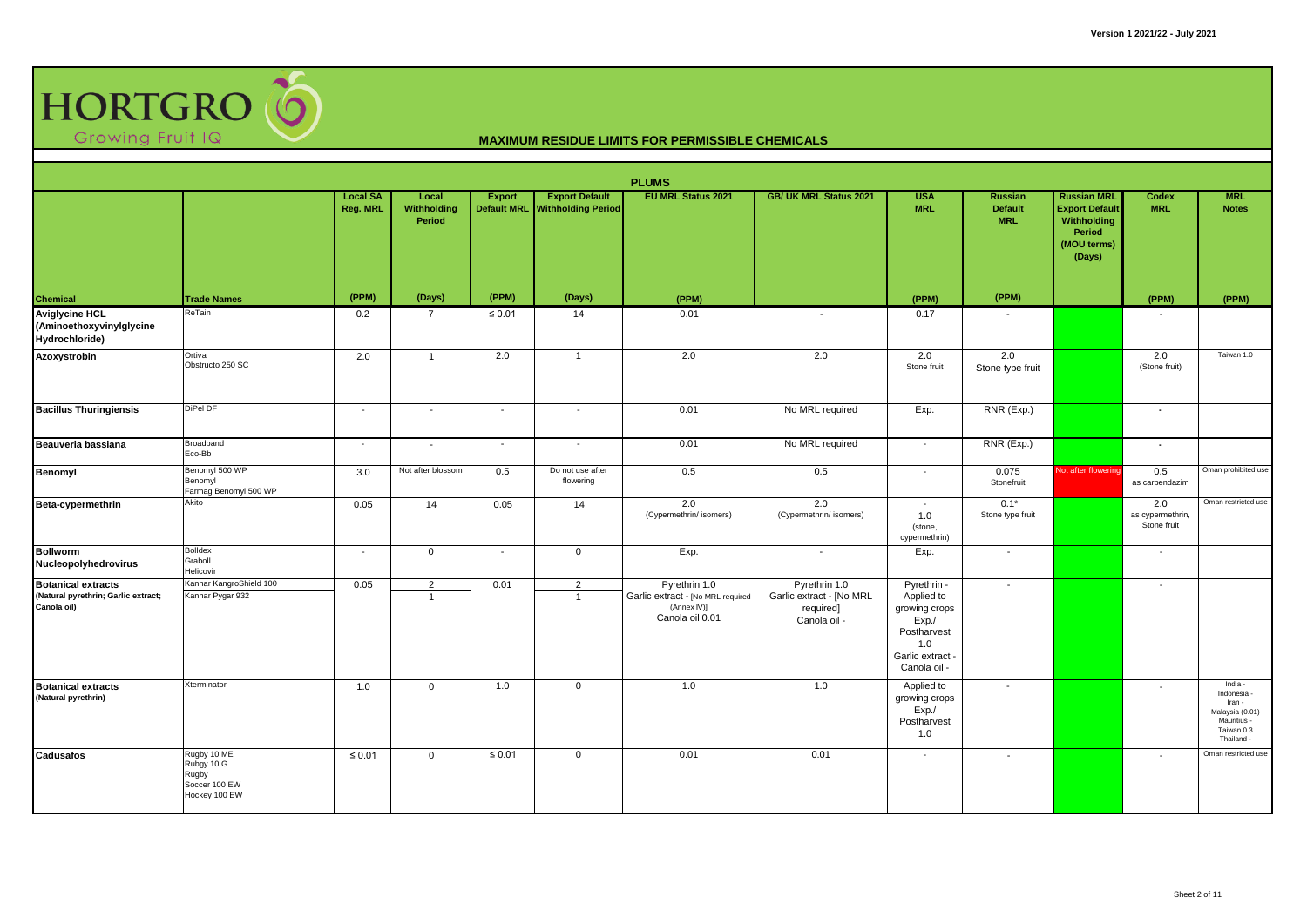

|                                                                                 |                                                                      |                             |                                       |                                     |                                                    | <b>PLUMS</b>                                                                         |                                                                        |                                                                                                            |                                         |                                                                                               |                                        |                                                                                              |
|---------------------------------------------------------------------------------|----------------------------------------------------------------------|-----------------------------|---------------------------------------|-------------------------------------|----------------------------------------------------|--------------------------------------------------------------------------------------|------------------------------------------------------------------------|------------------------------------------------------------------------------------------------------------|-----------------------------------------|-----------------------------------------------------------------------------------------------|----------------------------------------|----------------------------------------------------------------------------------------------|
|                                                                                 |                                                                      | <b>Local SA</b><br>Reg. MRL | Local<br><b>Withholding</b><br>Period | <b>Export</b><br><b>Default MRL</b> | <b>Export Default</b><br><b>Withholding Period</b> | <b>EU MRL Status 2021</b>                                                            | <b>GB/ UK MRL Status 2021</b>                                          | <b>USA</b><br><b>MRL</b>                                                                                   | Russian<br><b>Default</b><br><b>MRL</b> | <b>Russian MRL</b><br><b>Export Default</b><br>Withholding<br>Period<br>(MOU terms)<br>(Days) | <b>Codex</b><br><b>MRL</b>             | <b>MRL</b><br><b>Notes</b>                                                                   |
| Chemical                                                                        | <b>Trade Names</b>                                                   | (PPM)                       | (Days)                                | (PPM)                               | (Days)                                             | (PPM)                                                                                |                                                                        | (PPM)                                                                                                      | (PPM)                                   |                                                                                               | (PPM)                                  | (PPM)                                                                                        |
| <b>Aviglycine HCL</b><br>(Aminoethoxyvinylglycine<br>Hydrochloride)             | ReTain                                                               | 0.2                         | 7                                     | $\leq 0.01$                         | 14                                                 | 0.01                                                                                 | $\overline{\phantom{a}}$                                               | 0.17                                                                                                       |                                         |                                                                                               |                                        |                                                                                              |
| Azoxystrobin                                                                    | Ortiva<br>Obstructo 250 SC                                           | 2.0                         | $\mathbf{1}$                          | 2.0                                 | $\overline{1}$                                     | 2.0                                                                                  | 2.0                                                                    | 2.0<br>Stone fruit                                                                                         | 2.0<br>Stone type fruit                 |                                                                                               | 2.0<br>(Stone fruit)                   | Taiwan 1.0                                                                                   |
| <b>Bacillus Thuringiensis</b>                                                   | DiPel DF                                                             | $\overline{\phantom{a}}$    | $\overline{\phantom{a}}$              | $\overline{\phantom{a}}$            | $\overline{\phantom{a}}$                           | 0.01                                                                                 | No MRL required                                                        | Exp.                                                                                                       | RNR (Exp.)                              |                                                                                               | $\overline{\phantom{a}}$               |                                                                                              |
| Beauveria bassiana                                                              | Broadband<br>Eco-Bb                                                  | $\overline{\phantom{a}}$    | $\overline{\phantom{a}}$              | $\sim$                              | $\blacksquare$                                     | 0.01                                                                                 | No MRL required                                                        | $\sim$                                                                                                     | RNR (Exp.)                              |                                                                                               | $\sim$                                 |                                                                                              |
| <b>Benomyl</b>                                                                  | Benomyl 500 WP<br>Benomyl<br>Farmag Benomyl 500 WP                   | 3.0                         | Not after blossom                     | 0.5                                 | Do not use after<br>flowering                      | 0.5                                                                                  | 0.5                                                                    | $\sim$                                                                                                     | 0.075<br>Stonefruit                     | Not after flowering                                                                           | 0.5<br>as carbendazim                  | Oman prohibited use                                                                          |
| Beta-cypermethrin                                                               | Akito                                                                | 0.05                        | 14                                    | 0.05                                | 14                                                 | 2.0<br>(Cypermethrin/ isomers)                                                       | 2.0<br>(Cypermethrin/ isomers)                                         | $\sim$<br>1.0<br>(stone,<br>cypermethrin)                                                                  | $0.1*$<br>Stone type fruit              |                                                                                               | 2.0<br>as cypermethrin,<br>Stone fruit | Oman restricted use                                                                          |
| <b>Bollworm</b><br>Nucleopolyhedrovirus                                         | <b>Bolldex</b><br>Graboll<br>Helicovir                               | $\overline{\phantom{a}}$    | $\mathbf 0$                           | $\overline{\phantom{a}}$            | $\mathbf 0$                                        | Exp.                                                                                 |                                                                        | Exp.                                                                                                       | $\overline{\phantom{a}}$                |                                                                                               | $\overline{\phantom{a}}$               |                                                                                              |
| <b>Botanical extracts</b><br>(Natural pyrethrin; Garlic extract;<br>Canola oil) | Kannar KangroShield 100<br>Kannar Pygar 932                          | 0.05                        | $\overline{2}$<br>$\mathbf{1}$        | 0.01                                | $\overline{2}$<br>$\overline{1}$                   | Pyrethrin 1.0<br>Garlic extract - [No MRL required<br>(Annex IV)]<br>Canola oil 0.01 | Pyrethrin 1.0<br>Garlic extract - [No MRL<br>required]<br>Canola oil - | Pyrethrin -<br>Applied to<br>growing crops<br>Exp.<br>Postharvest<br>1.0<br>Garlic extract -<br>Canola oil | $\overline{\phantom{a}}$                |                                                                                               | $\overline{\phantom{a}}$               |                                                                                              |
| <b>Botanical extracts</b><br>(Natural pyrethrin)                                | Xterminator                                                          | 1.0                         | $\mathbf{0}$                          | 1.0                                 | $\mathbf 0$                                        | 1.0                                                                                  | 1.0                                                                    | Applied to<br>growing crops<br>Exp/<br>Postharvest<br>1.0                                                  | $\overline{\phantom{a}}$                |                                                                                               | $\overline{\phantom{a}}$               | India -<br>Indonesia<br>Iran -<br>Malaysia (0.01)<br>Mauritius -<br>Taiwan 0.3<br>Thailand - |
| Cadusafos                                                                       | Rugby 10 ME<br>Rubgy 10 G<br>Rugby<br>Soccer 100 EW<br>Hockey 100 EW | $\leq 0.01$                 | $\mathbf 0$                           | $\leq 0.01$                         | $\mathbf{0}$                                       | 0.01                                                                                 | 0.01                                                                   |                                                                                                            | $\overline{\phantom{a}}$                |                                                                                               | $\overline{\phantom{a}}$               | Oman restricted use                                                                          |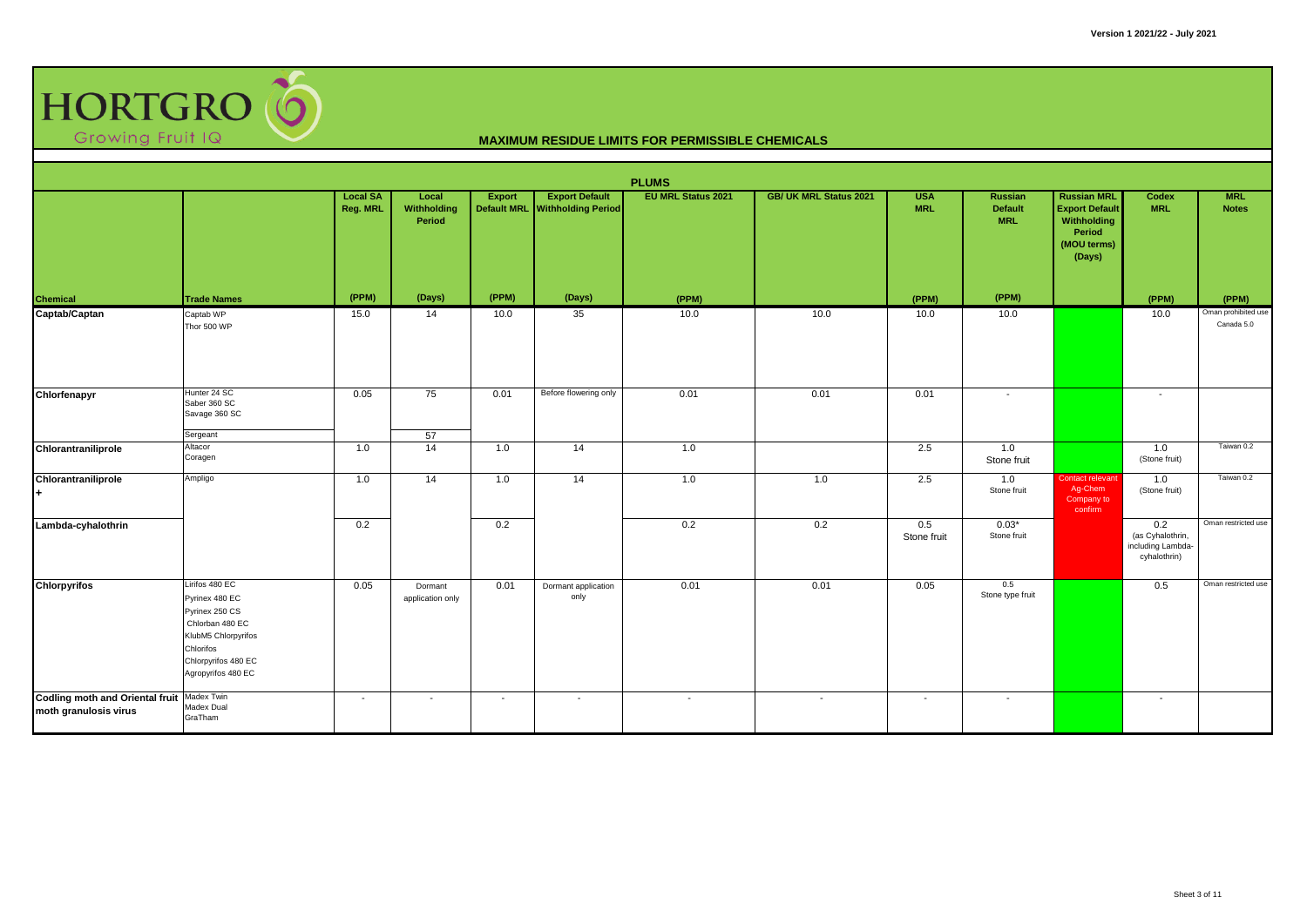

|                                                                     |                                                                                                                                                        |                             |                                |                          |                                                         | <b>PLUMS</b>              |                               |                          |                                                |                                                                                               |                                                              |                                   |
|---------------------------------------------------------------------|--------------------------------------------------------------------------------------------------------------------------------------------------------|-----------------------------|--------------------------------|--------------------------|---------------------------------------------------------|---------------------------|-------------------------------|--------------------------|------------------------------------------------|-----------------------------------------------------------------------------------------------|--------------------------------------------------------------|-----------------------------------|
|                                                                     |                                                                                                                                                        | <b>Local SA</b><br>Reg. MRL | Local<br>Withholding<br>Period | <b>Export</b>            | <b>Export Default</b><br>Default MRL Withholding Period | <b>EU MRL Status 2021</b> | <b>GB/ UK MRL Status 2021</b> | <b>USA</b><br><b>MRL</b> | <b>Russian</b><br><b>Default</b><br><b>MRL</b> | <b>Russian MRL</b><br><b>Export Default</b><br>Withholding<br>Period<br>(MOU terms)<br>(Days) | Codex<br><b>MRL</b>                                          | <b>MRL</b><br><b>Notes</b>        |
| <b>Chemical</b>                                                     | Trade Names                                                                                                                                            | (PPM)                       | (Days)                         | (PPM)                    | (Days)                                                  | (PPM)                     |                               | (PPM)                    | (PPM)                                          |                                                                                               | (PPM)                                                        | (PPM)                             |
| Captab/Captan                                                       | Captab WP<br>Thor 500 WP                                                                                                                               | 15.0                        | 14                             | 10.0                     | 35                                                      | 10.0                      | 10.0                          | 10.0                     | 10.0                                           |                                                                                               | 10.0                                                         | Oman prohibited use<br>Canada 5.0 |
| Chlorfenapyr                                                        | Hunter 24 SC<br>Saber 360 SC<br>Savage 360 SC                                                                                                          | 0.05                        | 75                             | 0.01                     | Before flowering only                                   | 0.01                      | 0.01                          | 0.01                     | $\sim$                                         |                                                                                               | $\overline{\phantom{0}}$                                     |                                   |
|                                                                     | Sergeant                                                                                                                                               |                             | 57                             |                          |                                                         |                           |                               |                          |                                                |                                                                                               |                                                              |                                   |
| Chlorantraniliprole                                                 | Altacor<br>Coragen                                                                                                                                     | 1.0                         | 14                             | 1.0                      | 14                                                      | 1.0                       |                               | 2.5                      | 1.0<br>Stone fruit                             |                                                                                               | 1.0<br>(Stone fruit)                                         | Taiwan 0.2                        |
| Chlorantraniliprole                                                 | Ampligo                                                                                                                                                | 1.0                         | 14                             | 1.0                      | 14                                                      | 1.0                       | 1.0                           | 2.5                      | 1.0<br>Stone fruit                             | Contact relevant<br>Ag-Chem<br>Company to<br>confirm                                          | 1.0<br>(Stone fruit)                                         | Taiwan 0.2                        |
| Lambda-cyhalothrin                                                  |                                                                                                                                                        | 0.2                         |                                | 0.2                      |                                                         | 0.2                       | 0.2                           | 0.5<br>Stone fruit       | $0.03*$<br>Stone fruit                         |                                                                                               | 0.2<br>(as Cyhalothrin,<br>including Lambda-<br>cyhalothrin) | Oman restricted use               |
| <b>Chlorpyrifos</b>                                                 | Lirifos 480 EC<br>Pyrinex 480 EC<br>Pyrinex 250 CS<br>Chlorban 480 EC<br>KlubM5 Chlorpyrifos<br>Chlorifos<br>Chlorpyrifos 480 EC<br>Agropyrifos 480 EC | 0.05                        | Dormant<br>application only    | 0.01                     | Dormant application<br>only                             | 0.01                      | 0.01                          | 0.05                     | 0.5<br>Stone type fruit                        |                                                                                               | 0.5                                                          | Oman restricted use               |
| Codling moth and Oriental fruit Madex Twin<br>moth granulosis virus | Madex Dual<br>GraTham                                                                                                                                  | $\overline{\phantom{a}}$    | $\overline{\phantom{a}}$       | $\overline{\phantom{a}}$ | $\sim$                                                  | $\sim$                    | $\sim$                        | $\sim$                   | $\sim$                                         |                                                                                               | $\sim$                                                       |                                   |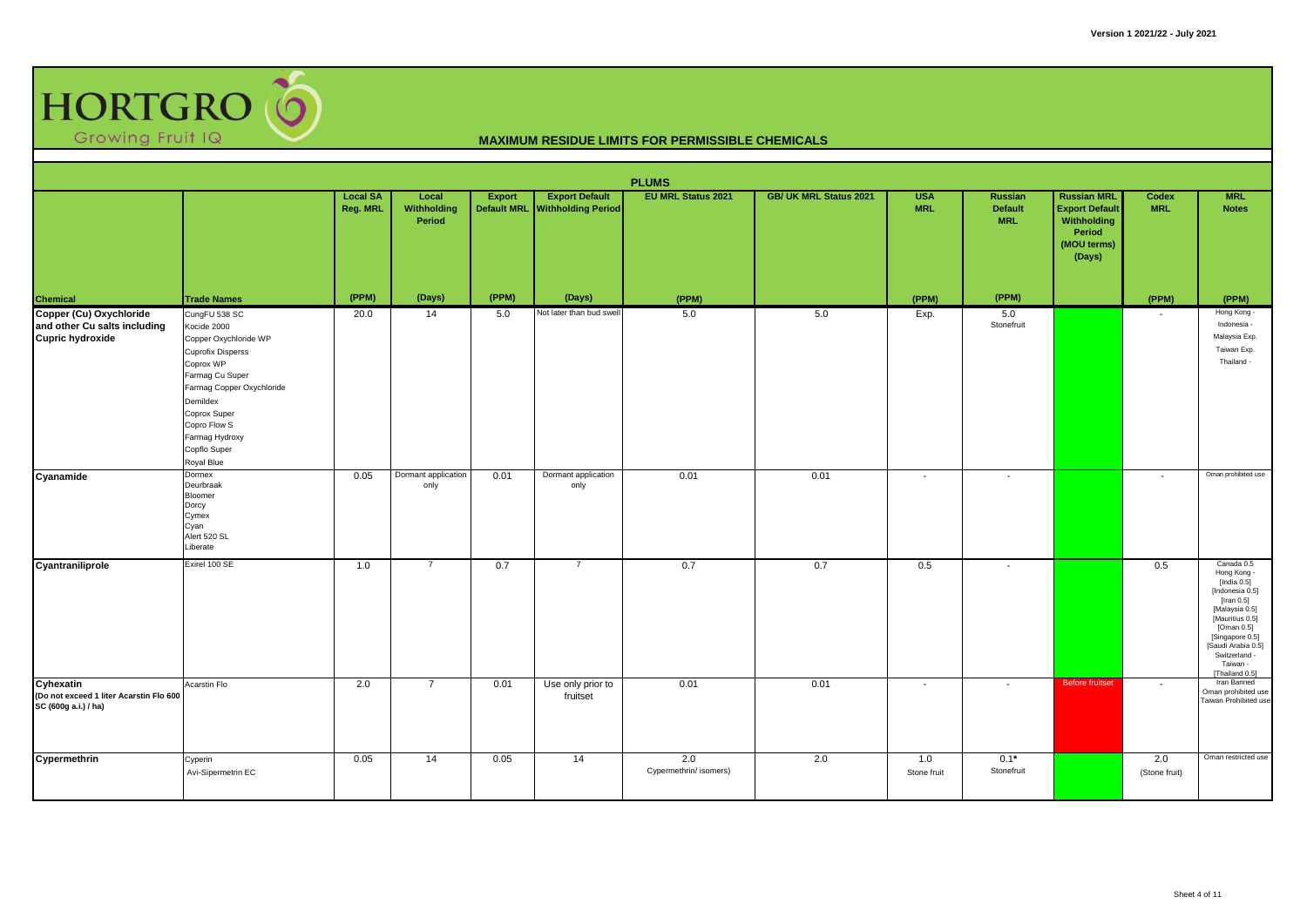

|                                                                              | <b>PLUMS</b><br><b>EU MRL Status 2021</b><br>Local<br><b>Export Default</b><br>GB/ UK MRL Status 2021<br><b>USA</b><br><b>Russian MRL</b><br><b>MRL</b><br><b>Local SA</b><br>Export<br>Russian<br>Codex                                   |          |                             |                    |                               |                               |      |                          |                              |                                                                         |                          |                                                                                                                                                                                                                         |  |  |
|------------------------------------------------------------------------------|--------------------------------------------------------------------------------------------------------------------------------------------------------------------------------------------------------------------------------------------|----------|-----------------------------|--------------------|-------------------------------|-------------------------------|------|--------------------------|------------------------------|-------------------------------------------------------------------------|--------------------------|-------------------------------------------------------------------------------------------------------------------------------------------------------------------------------------------------------------------------|--|--|
|                                                                              |                                                                                                                                                                                                                                            | Reg. MRL | Withholding<br>Period       | <b>Default MRL</b> | <b>Withholding Period</b>     |                               |      | <b>MRL</b>               | <b>Default</b><br><b>MRL</b> | <b>Export Default</b><br>Withholding<br>Period<br>(MOU terms)<br>(Days) | <b>MRL</b>               | <b>Notes</b>                                                                                                                                                                                                            |  |  |
| <b>Chemical</b><br>Copper (Cu) Oxychloride                                   | <b>Trade Names</b>                                                                                                                                                                                                                         | (PPM)    | (Days)                      | (PPM)              | (Days)                        | (PPM)                         |      | (PPM)                    | (PPM)                        |                                                                         | (PPM)                    | (PPM)                                                                                                                                                                                                                   |  |  |
| and other Cu salts including<br><b>Cupric hydroxide</b>                      | CungFU 538 SC<br>Kocide 2000<br>Copper Oxychloride WP<br><b>Cuprofix Disperss</b><br>Coprox WP<br>Farmag Cu Super<br>Farmag Copper Oxychloride<br>Demildex<br>Coprox Super<br>Copro Flow S<br>Farmag Hydroxy<br>Copflo Super<br>Royal Blue | 20.0     | 14                          | 5.0                | Not later than bud swell      | 5.0                           | 5.0  | Exp.                     | 5.0<br>Stonefruit            |                                                                         |                          | Hong Kong -<br>Indonesia -<br>Malaysia Exp.<br>Taiwan Exp.<br>Thailand -                                                                                                                                                |  |  |
| Cyanamide                                                                    | Dormex<br>Deurbraak<br>Bloomer<br>Dorcy<br>Cymex<br>Cyan<br>Alert 520 SL<br>Liberate                                                                                                                                                       | 0.05     | Dormant application<br>only | 0.01               | Dormant application<br>only   | 0.01                          | 0.01 | $\overline{\phantom{a}}$ | $\blacksquare$               |                                                                         | $\sim$                   | Oman prohibited use                                                                                                                                                                                                     |  |  |
| Cyantraniliprole                                                             | Exirel 100 SE                                                                                                                                                                                                                              | 1.0      | $\overline{7}$              | 0.7                | $\overline{7}$                | 0.7                           | 0.7  | 0.5                      | $\overline{\phantom{a}}$     |                                                                         | 0.5                      | Canada 0.5<br>Hong Kong -<br>[India 0.5]<br>[Indonesia 0.5]<br>[Iran $0.5$ ]<br>[Malaysia 0.5]<br>[Mauritius 0.5]<br>[Oman 0.5]<br>[Singapore 0.5]<br>[Saudi Arabia 0.5]<br>Switzerland -<br>Taiwan -<br>[Thailand 0.5] |  |  |
| Cyhexatin<br>(Do not exceed 1 liter Acarstin Flo 600<br>SC (600g a.i.) / ha) | Acarstin Flo                                                                                                                                                                                                                               | 2.0      | $\overline{7}$              | 0.01               | Use only prior to<br>fruitset | 0.01                          | 0.01 | $\overline{\phantom{a}}$ | $\sim$                       | <b>Before fruitset</b>                                                  | $\overline{\phantom{a}}$ | Iran Banned<br>Oman prohibited use<br>Taiwan Prohibited use                                                                                                                                                             |  |  |
| Cypermethrin                                                                 | Cyperin<br>Avi-Sipermetrin EC                                                                                                                                                                                                              | 0.05     | 14                          | 0.05               | 14                            | 2.0<br>Cypermethrin/ isomers) | 2.0  | 1.0<br>Stone fruit       | $0.1*$<br>Stonefruit         |                                                                         | 2.0<br>(Stone fruit)     | Oman restricted use                                                                                                                                                                                                     |  |  |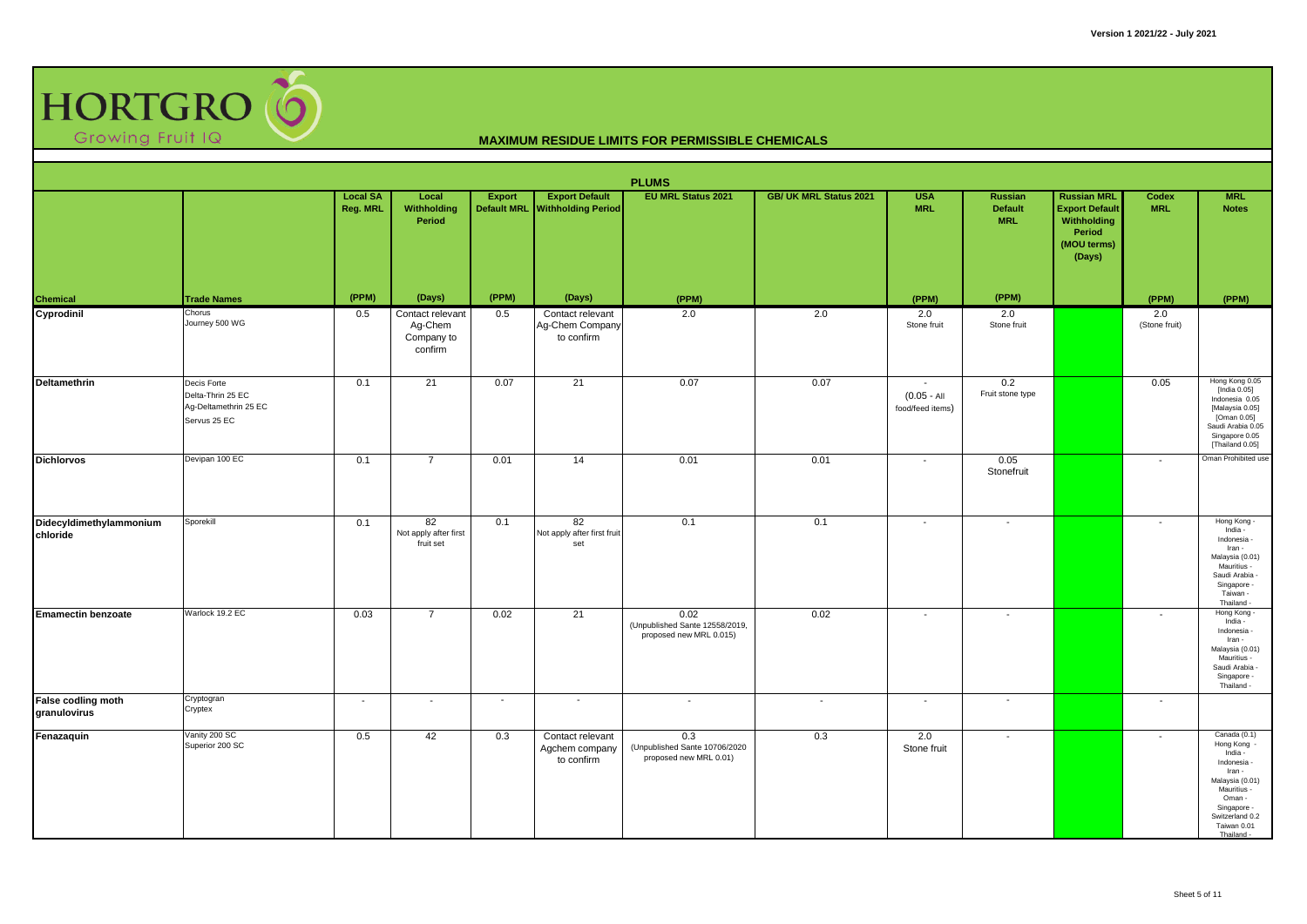

|                                     |                                                                           |                             |                                                      |                                     |                                                    | <b>PLUMS</b>                                                      |                               |                                                               |                                                |                                                                                               |                            |                                                                                                                                                                        |
|-------------------------------------|---------------------------------------------------------------------------|-----------------------------|------------------------------------------------------|-------------------------------------|----------------------------------------------------|-------------------------------------------------------------------|-------------------------------|---------------------------------------------------------------|------------------------------------------------|-----------------------------------------------------------------------------------------------|----------------------------|------------------------------------------------------------------------------------------------------------------------------------------------------------------------|
|                                     |                                                                           | <b>Local SA</b><br>Reg. MRL | Local<br><b>Withholding</b><br>Period                | <b>Export</b><br><b>Default MRL</b> | <b>Export Default</b><br><b>Withholding Period</b> | <b>EU MRL Status 2021</b>                                         | <b>GB/ UK MRL Status 2021</b> | <b>USA</b><br><b>MRL</b>                                      | <b>Russian</b><br><b>Default</b><br><b>MRL</b> | <b>Russian MRL</b><br><b>Export Default</b><br>Withholding<br>Period<br>(MOU terms)<br>(Days) | <b>Codex</b><br><b>MRL</b> | <b>MRL</b><br><b>Notes</b>                                                                                                                                             |
| Chemical                            | <b>Trade Names</b>                                                        | (PPM)                       | (Days)                                               | (PPM)                               | (Days)                                             | (PPM)                                                             |                               | (PPM)                                                         | (PPM)                                          |                                                                                               | (PPM)                      | (PPM)                                                                                                                                                                  |
| Cyprodinil                          | Chorus<br>Journey 500 WG                                                  | 0.5                         | Contact relevant<br>Ag-Chem<br>Company to<br>confirm | 0.5                                 | Contact relevant<br>Ag-Chem Company<br>to confirm  | 2.0                                                               | 2.0                           | 2.0<br>Stone fruit                                            | 2.0<br>Stone fruit                             |                                                                                               | 2.0<br>(Stone fruit)       |                                                                                                                                                                        |
| Deltamethrin                        | Decis Forte<br>Delta-Thrin 25 EC<br>Ag-Deltamethrin 25 EC<br>Servus 25 EC | 0.1                         | 21                                                   | 0.07                                | 21                                                 | 0.07                                                              | 0.07                          | $\overline{\phantom{a}}$<br>$(0.05 - AI)$<br>food/feed items) | 0.2<br>Fruit stone type                        |                                                                                               | 0.05                       | Hong Kong 0.05<br>[India 0.05]<br>Indonesia 0.05<br>[Malaysia 0.05]<br>[Oman 0.05]<br>Saudi Arabia 0.05<br>Singapore 0.05<br>Thailand 0.05]                            |
| <b>Dichlorvos</b>                   | Devipan 100 EC                                                            | 0.1                         | $\overline{7}$                                       | 0.01                                | 14                                                 | 0.01                                                              | 0.01                          | $\overline{\phantom{a}}$                                      | 0.05<br>Stonefruit                             |                                                                                               | $\sim$                     | Oman Prohibited use                                                                                                                                                    |
| Didecyldimethylammonium<br>chloride | Sporekill                                                                 | 0.1                         | 82<br>Not apply after first<br>fruit set             | 0.1                                 | 82<br>Not apply after first fruit<br>set           | 0.1                                                               | 0.1                           | $\overline{\phantom{a}}$                                      | $\overline{\phantom{a}}$                       |                                                                                               | $\overline{\phantom{a}}$   | Hong Kong -<br>India -<br>Indonesia -<br>Iran -<br>Malaysia (0.01)<br>Mauritius -<br>Saudi Arabia -<br>Singapore -<br>Taiwan -<br>Thailand -                           |
| <b>Emamectin benzoate</b>           | Warlock 19.2 EC                                                           | 0.03                        | $\overline{7}$                                       | 0.02                                | 21                                                 | 0.02<br>(Unpublished Sante 12558/2019,<br>proposed new MRL 0.015) | 0.02                          | $\overline{\phantom{a}}$                                      | $\overline{\phantom{a}}$                       |                                                                                               | $\overline{\phantom{a}}$   | Hong Kong -<br>India -<br>Indonesia -<br>Iran -<br>Malaysia (0.01)<br>Mauritius -<br>Saudi Arabia -<br>Singapore -<br>Thailand -                                       |
| False codling moth<br>granulovirus  | Cryptogran<br>Cryptex                                                     | $\blacksquare$              | $\overline{a}$                                       | $\sim$                              | $\sim$                                             | $\overline{\phantom{a}}$                                          | $\overline{\phantom{a}}$      | $\overline{\phantom{a}}$                                      | $\overline{\phantom{a}}$                       |                                                                                               | $\blacksquare$             |                                                                                                                                                                        |
| Fenazaquin                          | Vanity 200 SC<br>Superior 200 SC                                          | 0.5                         | 42                                                   | 0.3                                 | Contact relevant<br>Agchem company<br>to confirm   | 0.3<br>(Unpublished Sante 10706/2020<br>proposed new MRL 0.01)    | 0.3                           | 2.0<br>Stone fruit                                            | $\overline{\phantom{a}}$                       |                                                                                               | $\overline{\phantom{a}}$   | Canada (0.1)<br>Hong Kong<br>India -<br>Indonesia -<br>Iran -<br>Malaysia (0.01)<br>Mauritius -<br>Oman -<br>Singapore -<br>Switzerland 0.2<br>Taiwan 0.01<br>Thailand |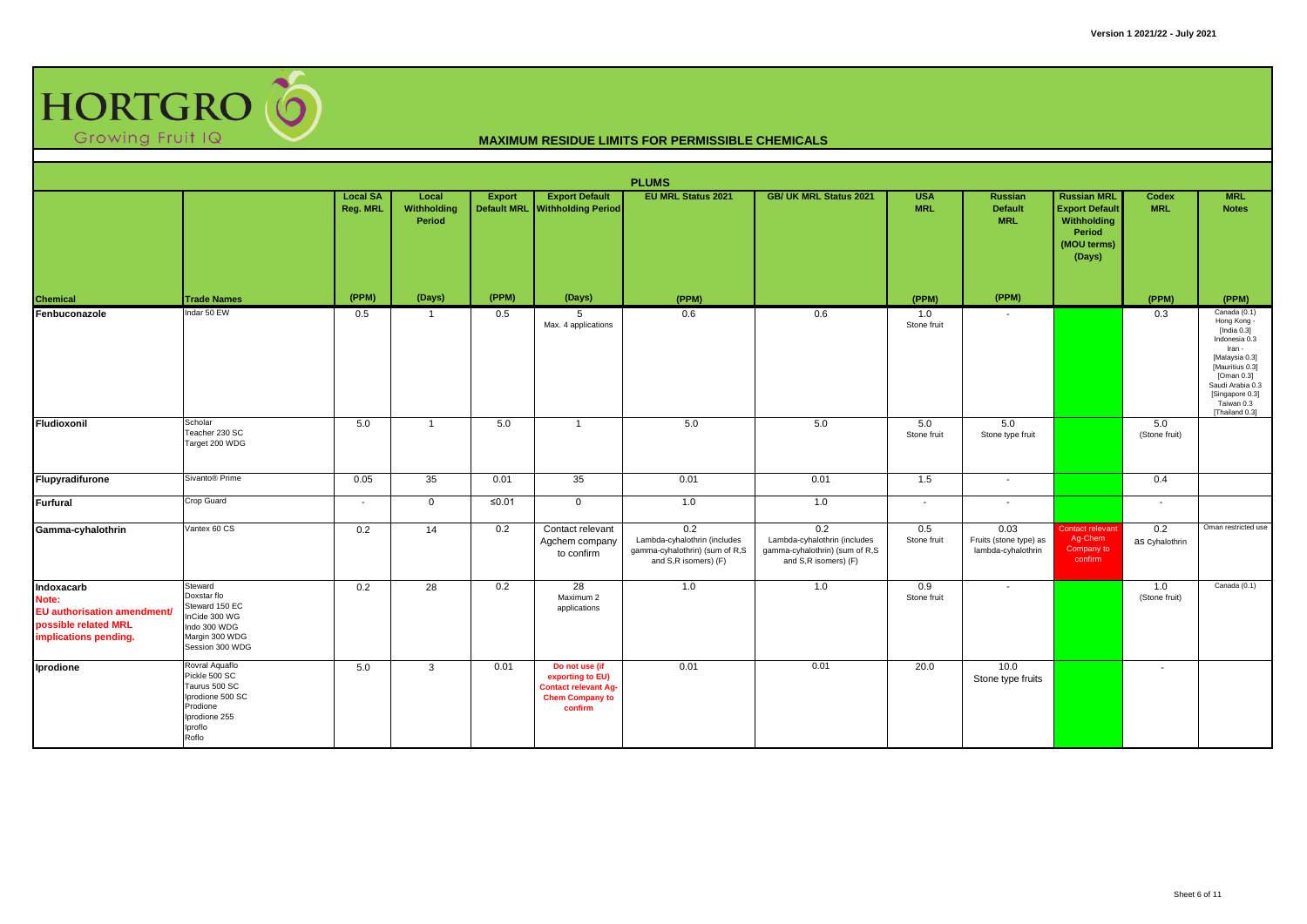

|                                                                                                            |                                                                                                                       |                             |                                |               |                                                                                                        | <b>PLUMS</b>                                                                                  |                                                                                               |                          |                                                      |                                                                                               |                            |                                                                                                                                                                                                    |
|------------------------------------------------------------------------------------------------------------|-----------------------------------------------------------------------------------------------------------------------|-----------------------------|--------------------------------|---------------|--------------------------------------------------------------------------------------------------------|-----------------------------------------------------------------------------------------------|-----------------------------------------------------------------------------------------------|--------------------------|------------------------------------------------------|-----------------------------------------------------------------------------------------------|----------------------------|----------------------------------------------------------------------------------------------------------------------------------------------------------------------------------------------------|
|                                                                                                            |                                                                                                                       | <b>Local SA</b><br>Reg. MRL | Local<br>Withholding<br>Period | <b>Export</b> | <b>Export Default</b><br>Default MRL Withholding Period                                                | <b>EU MRL Status 2021</b>                                                                     | <b>GB/ UK MRL Status 2021</b>                                                                 | <b>USA</b><br><b>MRL</b> | Russian<br><b>Default</b><br><b>MRL</b>              | <b>Russian MRL</b><br><b>Export Default</b><br>Withholding<br>Period<br>(MOU terms)<br>(Days) | <b>Codex</b><br><b>MRL</b> | <b>MRL</b><br><b>Notes</b>                                                                                                                                                                         |
| Chemical                                                                                                   | <b>Trade Names</b>                                                                                                    | (PPM)                       | (Days)                         | (PPM)         | (Days)                                                                                                 | (PPM)                                                                                         |                                                                                               | (PPM)                    | (PPM)                                                |                                                                                               | (PPM)                      | (PPM)                                                                                                                                                                                              |
| Fenbuconazole                                                                                              | Indar 50 EW                                                                                                           | 0.5                         | $\mathbf{1}$                   | 0.5           | 5<br>Max. 4 applications                                                                               | 0.6                                                                                           | 0.6                                                                                           | 1.0<br>Stone fruit       |                                                      |                                                                                               | 0.3                        | Canada (0.1)<br>Hong Kong -<br>[India $0.3$ ]<br>Indonesia 0.3<br>Iran -<br>[Malaysia 0.3]<br>[Mauritius 0.3]<br>[Oman 0.3]<br>Saudi Arabia 0.3<br>[Singapore 0.3]<br>Taiwan 0.3<br>[Thailand 0.3] |
| Fludioxonil                                                                                                | Scholar<br>Teacher 230 SC<br>Target 200 WDG                                                                           | 5.0                         | $\mathbf{1}$                   | 5.0           | $\overline{1}$                                                                                         | 5.0                                                                                           | 5.0                                                                                           | 5.0<br>Stone fruit       | 5.0<br>Stone type fruit                              |                                                                                               | 5.0<br>(Stone fruit)       |                                                                                                                                                                                                    |
| Flupyradifurone                                                                                            | Sivanto <sup>®</sup> Prime                                                                                            | 0.05                        | 35                             | 0.01          | 35                                                                                                     | 0.01                                                                                          | 0.01                                                                                          | 1.5                      | $\sim$                                               |                                                                                               | 0.4                        |                                                                                                                                                                                                    |
| <b>Furfural</b>                                                                                            | Crop Guard                                                                                                            | $\overline{\phantom{a}}$    | $\mathbf 0$                    | ≤0.01         | $\mathbf 0$                                                                                            | 1.0                                                                                           | 1.0                                                                                           | $\sim$                   | $\sim$                                               |                                                                                               | $\sim$                     |                                                                                                                                                                                                    |
| Gamma-cyhalothrin                                                                                          | Vantex 60 CS                                                                                                          | 0.2                         | 14                             | 0.2           | Contact relevant<br>Agchem company<br>to confirm                                                       | 0.2<br>Lambda-cyhalothrin (includes<br>gamma-cyhalothrin) (sum of R,S<br>and S,R isomers) (F) | 0.2<br>Lambda-cyhalothrin (includes<br>gamma-cyhalothrin) (sum of R,S<br>and S,R isomers) (F) | 0.5<br>Stone fruit       | 0.03<br>Fruits (stone type) as<br>lambda-cyhalothrin | Contact relevant<br>Ag-Chem<br>Company to<br>confirm                                          | 0.2<br>as Cyhalothrin      | Oman restricted use                                                                                                                                                                                |
| Indoxacarb<br>Note:<br><b>EU</b> authorisation amendment/<br>possible related MRL<br>implications pending. | Steward<br>Doxstar flo<br>Steward 150 EC<br>InCide 300 WG<br>Indo 300 WDG<br>Margin 300 WDG<br>Session 300 WDG        | 0.2                         | 28                             | 0.2           | 28<br>Maximum 2<br>applications                                                                        | 1.0                                                                                           | 1.0                                                                                           | 0.9<br>Stone fruit       | $\overline{\phantom{a}}$                             |                                                                                               | 1.0<br>(Stone fruit)       | Canada (0.1)                                                                                                                                                                                       |
| Iprodione                                                                                                  | Rovral Aquaflo<br>Pickle 500 SC<br>Taurus 500 SC<br>Iprodione 500 SC<br>Prodione<br>Iprodione 255<br>Iproflo<br>Roflo | 5.0                         | 3                              | 0.01          | Do not use (if<br>exporting to EU)<br><b>Contact relevant Ag-</b><br><b>Chem Company to</b><br>confirm | 0.01                                                                                          | 0.01                                                                                          | 20.0                     | 10.0<br>Stone type fruits                            |                                                                                               | $\overline{\phantom{a}}$   |                                                                                                                                                                                                    |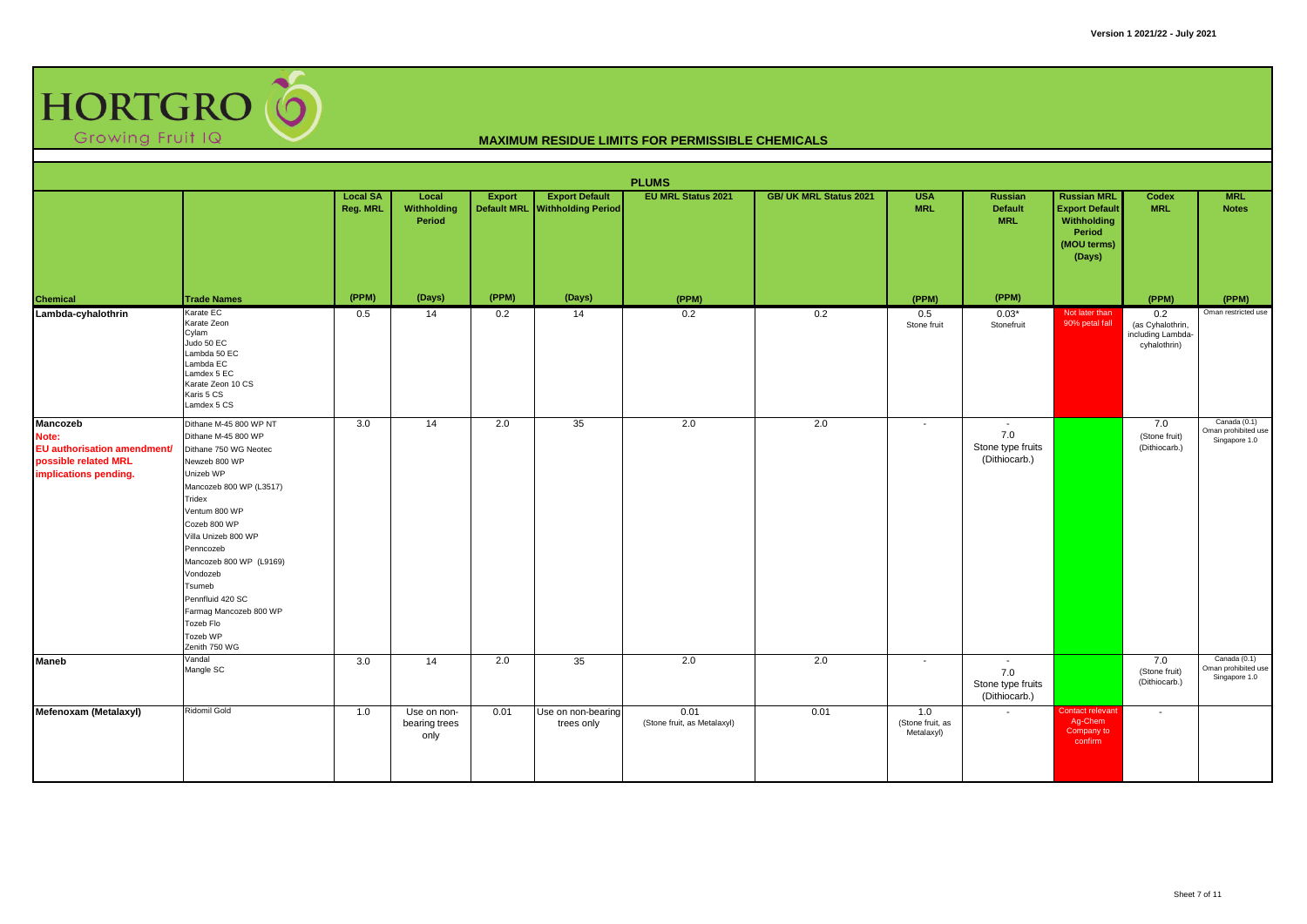

|                                                                                                                 |                                                                                                                                                                                                                                                                                                                                                         |                             |                                      |                              |                                                    | <b>PLUMS</b>                        |                               |                                       |                                                                       |                                                                                               |                                                              |                                                      |
|-----------------------------------------------------------------------------------------------------------------|---------------------------------------------------------------------------------------------------------------------------------------------------------------------------------------------------------------------------------------------------------------------------------------------------------------------------------------------------------|-----------------------------|--------------------------------------|------------------------------|----------------------------------------------------|-------------------------------------|-------------------------------|---------------------------------------|-----------------------------------------------------------------------|-----------------------------------------------------------------------------------------------|--------------------------------------------------------------|------------------------------------------------------|
|                                                                                                                 |                                                                                                                                                                                                                                                                                                                                                         | <b>Local SA</b><br>Reg. MRL | Local<br>Withholding<br>Period       | Export<br><b>Default MRL</b> | <b>Export Default</b><br><b>Withholding Period</b> | <b>EU MRL Status 2021</b>           | <b>GB/ UK MRL Status 2021</b> | <b>USA</b><br><b>MRL</b>              | <b>Russian</b><br><b>Default</b><br><b>MRL</b>                        | <b>Russian MRL</b><br><b>Export Default</b><br>Withholding<br>Period<br>(MOU terms)<br>(Days) | Codex<br><b>MRL</b>                                          | <b>MRL</b><br><b>Notes</b>                           |
| <b>Chemical</b>                                                                                                 | <b>Trade Names</b>                                                                                                                                                                                                                                                                                                                                      | (PPM)                       | (Days)                               | (PPM)                        | (Days)                                             | (PPM)                               |                               | (PPM)                                 | (PPM)                                                                 |                                                                                               | (PPM)                                                        | (PPM)                                                |
| Lambda-cyhalothrin                                                                                              | Karate EC<br>Karate Zeon<br>Cylam<br>Judo 50 EC<br>Lambda 50 EC<br>Lambda EC<br>Lamdex 5 EC<br>Karate Zeon 10 CS<br>Karis 5 CS<br>Lamdex 5 CS                                                                                                                                                                                                           | 0.5                         | 14                                   | 0.2                          | 14                                                 | 0.2                                 | 0.2                           | 0.5<br>Stone fruit                    | $0.03*$<br>Stonefruit                                                 | Not later than<br>90% petal fall                                                              | 0.2<br>(as Cyhalothrin,<br>including Lambda-<br>cyhalothrin) | Oman restricted use                                  |
| <b>Mancozeb</b><br>Note:<br><b>EU</b> authorisation amendment/<br>possible related MRL<br>implications pending. | Dithane M-45 800 WP NT<br>Dithane M-45 800 WP<br>Dithane 750 WG Neotec<br>Newzeb 800 WP<br>Unizeb WP<br>Mancozeb 800 WP (L3517)<br>Tridex<br>Ventum 800 WP<br>Cozeb 800 WP<br>Villa Unizeb 800 WP<br>Penncozeb<br>Mancozeb 800 WP (L9169)<br>Vondozeb<br>Tsumeb<br>Pennfluid 420 SC<br>Farmag Mancozeb 800 WP<br>Tozeb Flo<br>Tozeb WP<br>Zenith 750 WG | 3.0                         | 14                                   | 2.0                          | 35                                                 | 2.0                                 | 2.0                           | $\sim$                                | $\overline{\phantom{a}}$<br>7.0<br>Stone type fruits<br>(Dithiocarb.) |                                                                                               | 7.0<br>(Stone fruit)<br>(Dithiocarb.)                        | Canada (0.1)<br>Oman prohibited use<br>Singapore 1.0 |
| <b>Maneb</b>                                                                                                    | Vandal<br>Mangle SC                                                                                                                                                                                                                                                                                                                                     | 3.0                         | 14                                   | 2.0                          | 35                                                 | 2.0                                 | 2.0                           | $\overline{\phantom{a}}$              | $\sim$<br>7.0<br>Stone type fruits<br>(Dithiocarb.)                   |                                                                                               | 7.0<br>(Stone fruit)<br>(Dithiocarb.)                        | Canada (0.1)<br>Oman prohibited use<br>Singapore 1.0 |
| Mefenoxam (Metalaxyl)                                                                                           | <b>Ridomil Gold</b>                                                                                                                                                                                                                                                                                                                                     | 1.0                         | Use on non-<br>bearing trees<br>only | 0.01                         | Use on non-bearing<br>trees only                   | 0.01<br>(Stone fruit, as Metalaxyl) | 0.01                          | 1.0<br>(Stone fruit, as<br>Metalaxyl) | $\sim$                                                                | contact relevant<br>Ag-Chem<br>Company to<br>confirm                                          | $\overline{\phantom{a}}$                                     |                                                      |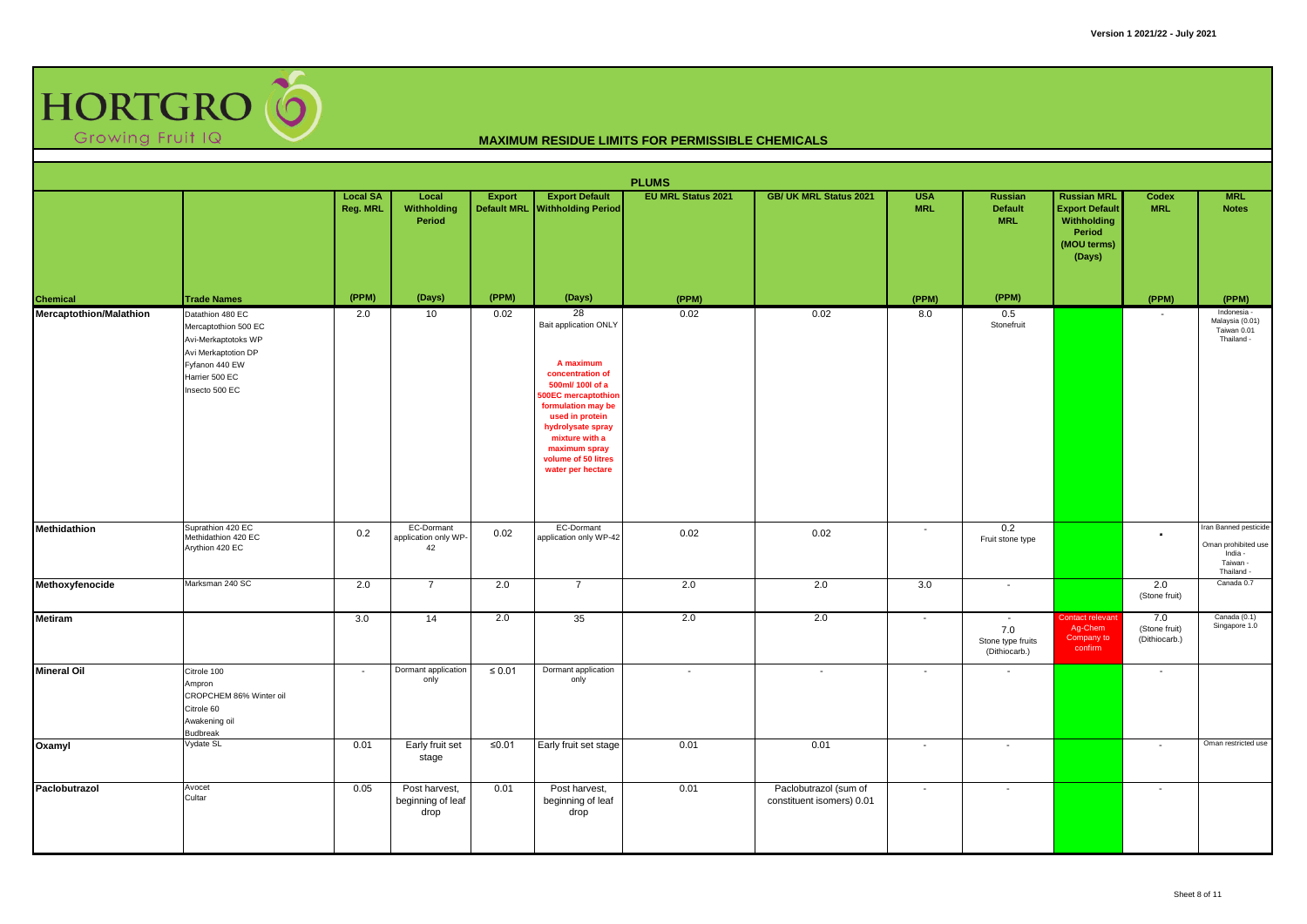

|                         | <b>PLUMS</b><br><b>Export Default</b><br><b>EU MRL Status 2021</b><br><b>GB/ UK MRL Status 2021</b><br><b>Russian MRL</b><br><b>MRL</b><br><b>Local SA</b><br><b>Export</b><br><b>USA</b><br>Russian<br><b>Codex</b><br>Local |                |                                                |                      |                                                                                                                                                                                                                                                     |                |                                                    |                                                      |                                                                       |                                                                         |                                       |                                                                                   |  |  |
|-------------------------|-------------------------------------------------------------------------------------------------------------------------------------------------------------------------------------------------------------------------------|----------------|------------------------------------------------|----------------------|-----------------------------------------------------------------------------------------------------------------------------------------------------------------------------------------------------------------------------------------------------|----------------|----------------------------------------------------|------------------------------------------------------|-----------------------------------------------------------------------|-------------------------------------------------------------------------|---------------------------------------|-----------------------------------------------------------------------------------|--|--|
|                         |                                                                                                                                                                                                                               | Reg. MRL       | <b>Withholding</b><br>Period                   | <b>Default MRL</b>   | <b>Withholding Period</b>                                                                                                                                                                                                                           |                |                                                    | <b>MRL</b>                                           | <b>Default</b><br><b>MRL</b>                                          | <b>Export Default</b><br>Withholding<br>Period<br>(MOU terms)<br>(Days) | <b>MRL</b>                            | <b>Notes</b>                                                                      |  |  |
| Chemical                | <b>Trade Names</b>                                                                                                                                                                                                            | (PPM)          | (Days)                                         | (PPM)                | (Days)                                                                                                                                                                                                                                              | (PPM)          |                                                    | (PPM)                                                | (PPM)                                                                 |                                                                         | (PPM)                                 | (PPM)                                                                             |  |  |
| Mercaptothion/Malathion | Datathion 480 EC<br>Mercaptothion 500 EC<br>Avi-Merkaptotoks WP<br>Avi Merkaptotion DP<br>Fyfanon 440 EW<br>Harrier 500 EC<br>Insecto 500 EC                                                                                  | 2.0            | 10                                             | 0.02                 | 28<br>Bait application ONLY<br>A maximum<br>concentration of<br>500ml/ 100l of a<br>00EC mercaptothion<br>formulation may be<br>used in protein<br>hydrolysate spray<br>mixture with a<br>maximum spray<br>volume of 50 litres<br>water per hectare | 0.02           | 0.02                                               | 8.0                                                  | 0.5<br>Stonefruit                                                     |                                                                         | $\overline{\phantom{a}}$              | Indonesia -<br>Malaysia (0.01)<br>Taiwan 0.01<br>Thailand -                       |  |  |
| Methidathion            | Suprathion 420 EC<br>Methidathion 420 EC<br>Arythion 420 EC                                                                                                                                                                   | 0.2            | EC-Dormant<br>application only WP-<br>42       | 0.02                 | <b>EC-Dormant</b><br>application only WP-42                                                                                                                                                                                                         | 0.02           | 0.02                                               | $\overline{\phantom{a}}$                             | 0.2<br>Fruit stone type                                               |                                                                         | $\overline{\phantom{a}}$              | Iran Banned pesticide<br>Oman prohibited use<br>India -<br>Taiwan -<br>Thailand - |  |  |
| Methoxyfenocide         | Marksman 240 SC                                                                                                                                                                                                               | 2.0            | $\overline{7}$                                 | 2.0                  | $\overline{7}$                                                                                                                                                                                                                                      | 2.0            | 2.0                                                | 3.0                                                  | $\sim$                                                                |                                                                         | 2.0<br>(Stone fruit)                  | Canada 0.7                                                                        |  |  |
| <b>Metiram</b>          |                                                                                                                                                                                                                               | 3.0            | 14                                             | 2.0                  | 35                                                                                                                                                                                                                                                  | 2.0            | 2.0                                                | $\overline{\phantom{a}}$                             | $\overline{\phantom{a}}$<br>7.0<br>Stone type fruits<br>(Dithiocarb.) | Contact relevant<br>Ag-Chem<br>Company to<br>confirm                    | 7.0<br>(Stone fruit)<br>(Dithiocarb.) | Canada (0.1)<br>Singapore 1.0                                                     |  |  |
| <b>Mineral Oil</b>      | Citrole 100<br>Ampron<br>CROPCHEM 86% Winter oil<br>Citrole 60<br>Awakening oil<br><b>Budbreak</b><br>Vydate SL                                                                                                               | $\sim$<br>0.01 | Dormant application<br>only<br>Early fruit set | $\leq 0.01$<br>≤0.01 | Dormant application<br>only<br>Early fruit set stage                                                                                                                                                                                                | $\sim$<br>0.01 | $\sim$<br>0.01                                     | $\overline{\phantom{a}}$<br>$\overline{\phantom{a}}$ | $\overline{\phantom{a}}$<br>$\overline{\phantom{a}}$                  |                                                                         | $\sim$<br>$\overline{\phantom{a}}$    | Oman restricted use                                                               |  |  |
| Oxamyl                  |                                                                                                                                                                                                                               |                | stage                                          |                      |                                                                                                                                                                                                                                                     |                |                                                    |                                                      |                                                                       |                                                                         |                                       |                                                                                   |  |  |
| Paclobutrazol           | Avocet<br>Cultar                                                                                                                                                                                                              | 0.05           | Post harvest,<br>beginning of leaf<br>drop     | 0.01                 | Post harvest,<br>beginning of leaf<br>drop                                                                                                                                                                                                          | 0.01           | Paclobutrazol (sum of<br>constituent isomers) 0.01 | $\overline{\phantom{a}}$                             | $\sim$                                                                |                                                                         | $\overline{\phantom{0}}$              |                                                                                   |  |  |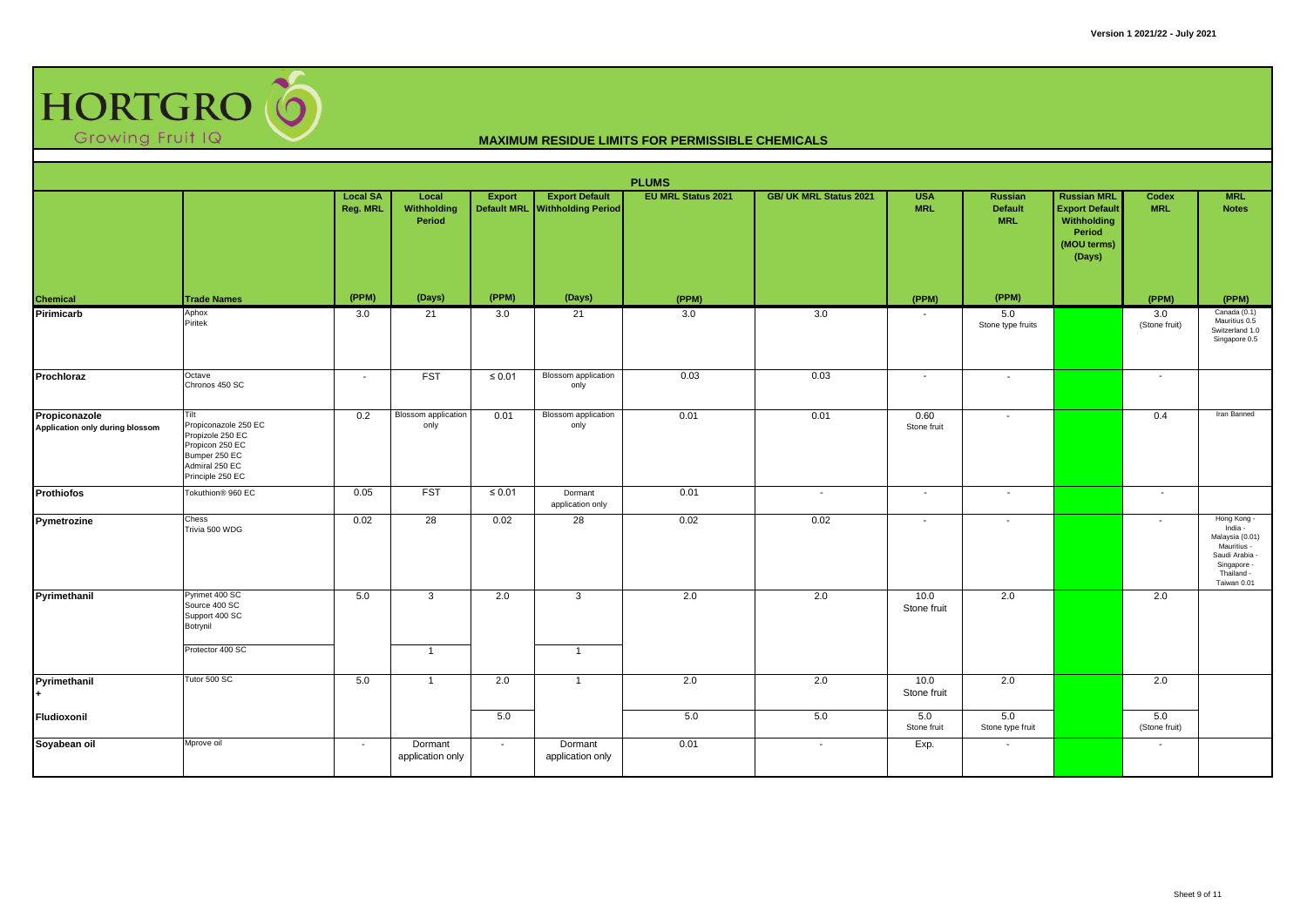

|                                                  |                                                                                                                            |                             |                                    |                                     |                                                    | <b>PLUMS</b>              |                               |                          |                                         |                                                                                               |                      |                                                                                                                      |
|--------------------------------------------------|----------------------------------------------------------------------------------------------------------------------------|-----------------------------|------------------------------------|-------------------------------------|----------------------------------------------------|---------------------------|-------------------------------|--------------------------|-----------------------------------------|-----------------------------------------------------------------------------------------------|----------------------|----------------------------------------------------------------------------------------------------------------------|
|                                                  |                                                                                                                            | <b>Local SA</b><br>Reg. MRL | Local<br>Withholding<br>Period     | <b>Export</b><br><b>Default MRL</b> | <b>Export Default</b><br><b>Withholding Period</b> | <b>EU MRL Status 2021</b> | <b>GB/ UK MRL Status 2021</b> | <b>USA</b><br><b>MRL</b> | Russian<br><b>Default</b><br><b>MRL</b> | <b>Russian MRL</b><br><b>Export Default</b><br>Withholding<br>Period<br>(MOU terms)<br>(Days) | Codex<br><b>MRL</b>  | <b>MRL</b><br><b>Notes</b>                                                                                           |
| Chemical                                         | <b>Trade Names</b>                                                                                                         | (PPM)                       | (Days)                             | (PPM)                               | (Days)                                             | (PPM)                     |                               | (PPM)                    | (PPM)                                   |                                                                                               | (PPM)                | (PPM)                                                                                                                |
| Pirimicarb                                       | Aphox<br>Piritek                                                                                                           | 3.0                         | 21                                 | 3.0                                 | 21                                                 | 3.0                       | 3.0                           |                          | 5.0<br>Stone type fruits                |                                                                                               | 3.0<br>(Stone fruit) | Canada (0.1)<br>Mauritius 0.5<br>Switzerland 1.0<br>Singapore 0.5                                                    |
| Prochloraz                                       | Octave<br>Chronos 450 SC                                                                                                   | $\sim$                      | <b>FST</b>                         | $\leq 0.01$                         | <b>Blossom</b> application<br>only                 | 0.03                      | 0.03                          | $\sim$                   | $\sim$                                  |                                                                                               | $\sim$               |                                                                                                                      |
| Propiconazole<br>Application only during blossom | Tilt<br>Propiconazole 250 EC<br>Propizole 250 EC<br>Propicon 250 EC<br>Bumper 250 EC<br>Admiral 250 EC<br>Principle 250 EC | 0.2                         | <b>Blossom</b> application<br>only | 0.01                                | Blossom application<br>only                        | 0.01                      | 0.01                          | 0.60<br>Stone fruit      | $\overline{\phantom{a}}$                |                                                                                               | 0.4                  | Iran Banned                                                                                                          |
| <b>Prothiofos</b>                                | Tokuthion® 960 EC                                                                                                          | 0.05                        | <b>FST</b>                         | $\leq 0.01$                         | Dormant<br>application only                        | 0.01                      | $\sim$                        | $\overline{\phantom{a}}$ | $\sim$                                  |                                                                                               | $\sim$               |                                                                                                                      |
| Pymetrozine                                      | Chess<br>Trivia 500 WDG                                                                                                    | 0.02                        | 28                                 | 0.02                                | 28                                                 | 0.02                      | 0.02                          | $\overline{\phantom{a}}$ | $\blacksquare$                          |                                                                                               | $\blacksquare$       | Hong Kong -<br>India -<br>Malaysia (0.01)<br>Mauritius -<br>Saudi Arabia<br>Singapore -<br>Thailand -<br>Taiwan 0.01 |
| Pyrimethanil                                     | Pyrimet 400 SC<br>Source 400 SC<br>Support 400 SC<br>Botrynil<br>Protector 400 SC                                          | 5.0                         | 3                                  | 2.0                                 | $\mathbf{3}$                                       | 2.0                       | 2.0                           | 10.0<br>Stone fruit      | 2.0                                     |                                                                                               | 2.0                  |                                                                                                                      |
|                                                  |                                                                                                                            |                             | $\overline{1}$                     |                                     | $\overline{1}$                                     |                           |                               |                          |                                         |                                                                                               |                      |                                                                                                                      |
| Pyrimethanil                                     | Tutor 500 SC                                                                                                               | 5.0                         | $\overline{1}$                     | 2.0                                 | 1                                                  | 2.0                       | 2.0                           | 10.0<br>Stone fruit      | 2.0                                     |                                                                                               | 2.0                  |                                                                                                                      |
| Fludioxonil                                      |                                                                                                                            |                             |                                    | 5.0                                 |                                                    | 5.0                       | 5.0                           | 5.0<br>Stone fruit       | 5.0<br>Stone type fruit                 |                                                                                               | 5.0<br>(Stone fruit) |                                                                                                                      |
| Soyabean oil                                     | Mprove oil                                                                                                                 | $\sim$                      | Dormant<br>application only        | $\sim$                              | Dormant<br>application only                        | 0.01                      | $\overline{\phantom{a}}$      | Exp.                     |                                         |                                                                                               | $\blacksquare$       |                                                                                                                      |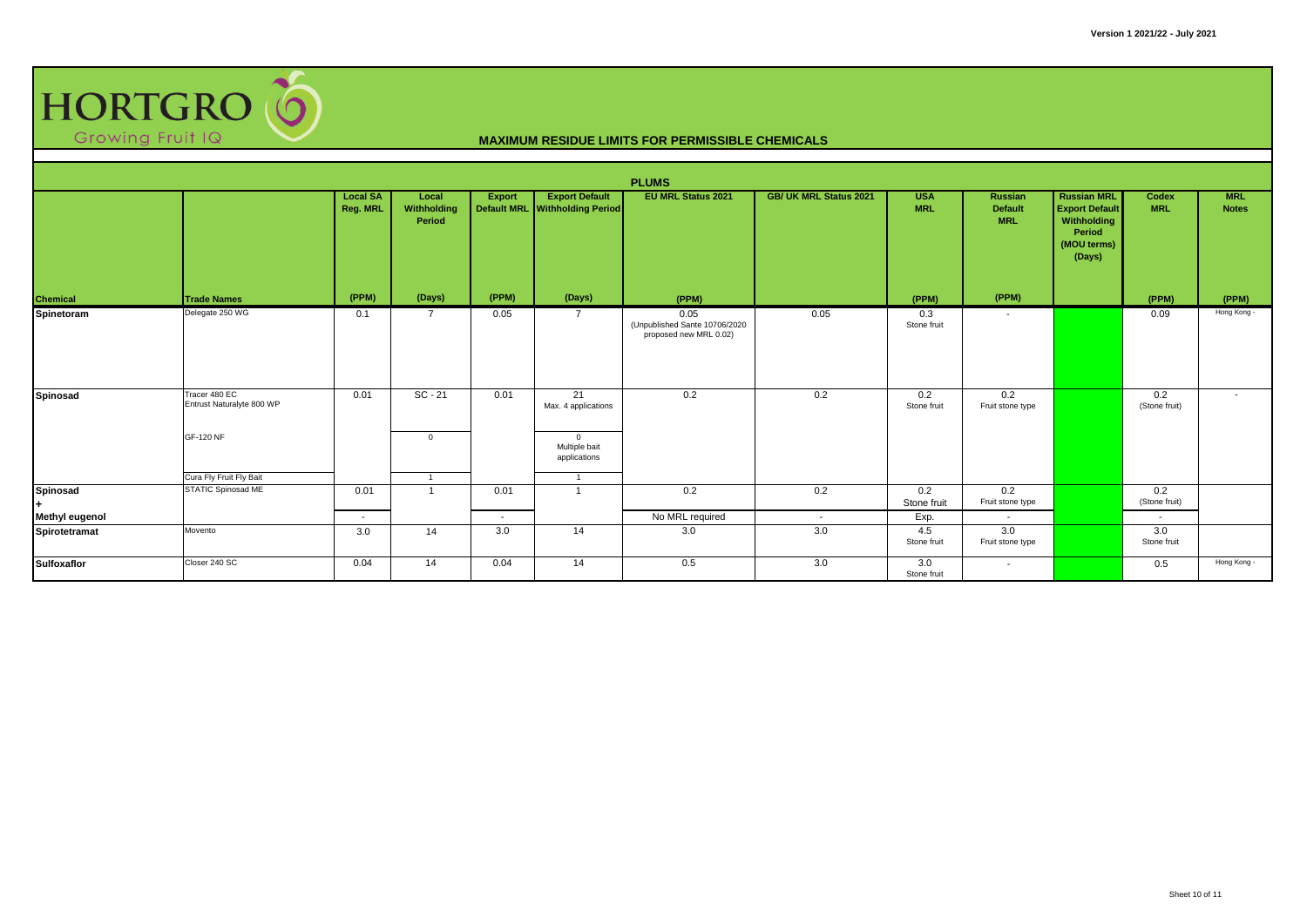

|                 |                                            |                             |                                |        |                                                         | <b>PLUMS</b>                                                    |                               |                          |                                         |                                                                                               |                          |                            |
|-----------------|--------------------------------------------|-----------------------------|--------------------------------|--------|---------------------------------------------------------|-----------------------------------------------------------------|-------------------------------|--------------------------|-----------------------------------------|-----------------------------------------------------------------------------------------------|--------------------------|----------------------------|
|                 |                                            | <b>Local SA</b><br>Reg. MRL | Local<br>Withholding<br>Period | Export | <b>Export Default</b><br>Default MRL Withholding Period | <b>EU MRL Status 2021</b>                                       | <b>GB/ UK MRL Status 2021</b> | <b>USA</b><br><b>MRL</b> | Russian<br><b>Default</b><br><b>MRL</b> | <b>Russian MRL</b><br><b>Export Default</b><br>Withholding<br>Period<br>(MOU terms)<br>(Days) | Codex<br><b>MRL</b>      | <b>MRL</b><br><b>Notes</b> |
| Chemical        | <b>Trade Names</b>                         | (PPM)                       | (Days)                         | (PPM)  | (Days)                                                  | (PPM)                                                           |                               | (PPM)                    | (PPM)                                   |                                                                                               | (PPM)                    | (PPM)                      |
| Spinetoram      | Delegate 250 WG                            | 0.1                         | $\overline{7}$                 | 0.05   |                                                         | 0.05<br>(Unpublished Sante 10706/2020<br>proposed new MRL 0.02) | 0.05                          | 0.3<br>Stone fruit       | $\overline{\phantom{a}}$                |                                                                                               | 0.09                     | Hong Kong -                |
| Spinosad        | Tracer 480 EC<br>Entrust Naturalyte 800 WP | 0.01                        | $SC - 21$                      | 0.01   | 21<br>Max. 4 applications                               | 0.2                                                             | 0.2                           | 0.2<br>Stone fruit       | 0.2<br>Fruit stone type                 |                                                                                               | 0.2<br>(Stone fruit)     | $\sim$                     |
|                 | GF-120 NF<br>Cura Fly Fruit Fly Bait       |                             | $\mathbf{0}$                   |        | $\mathbf{0}$<br>Multiple bait<br>applications           |                                                                 |                               |                          |                                         |                                                                                               |                          |                            |
| <b>Spinosad</b> | <b>STATIC Spinosad ME</b>                  | 0.01                        |                                | 0.01   |                                                         | 0.2                                                             | 0.2                           | 0.2<br>Stone fruit       | 0.2<br>Fruit stone type                 |                                                                                               | 0.2<br>(Stone fruit)     |                            |
| Methyl eugenol  |                                            | $\overline{\phantom{a}}$    |                                | $\sim$ |                                                         | No MRL required                                                 | $\overline{\phantom{a}}$      | Exp.                     |                                         |                                                                                               | $\overline{\phantom{a}}$ |                            |
| Spirotetramat   | Movento                                    | 3.0                         | 14                             | 3.0    | 14                                                      | 3.0                                                             | 3.0                           | 4.5<br>Stone fruit       | 3.0<br>Fruit stone type                 |                                                                                               | 3.0<br>Stone fruit       |                            |
| Sulfoxaflor     | Closer 240 SC                              | 0.04                        | 14                             | 0.04   | 14                                                      | 0.5                                                             | 3.0                           | 3.0<br>Stone fruit       | $\sim$                                  |                                                                                               | 0.5                      | Hong Kong -                |